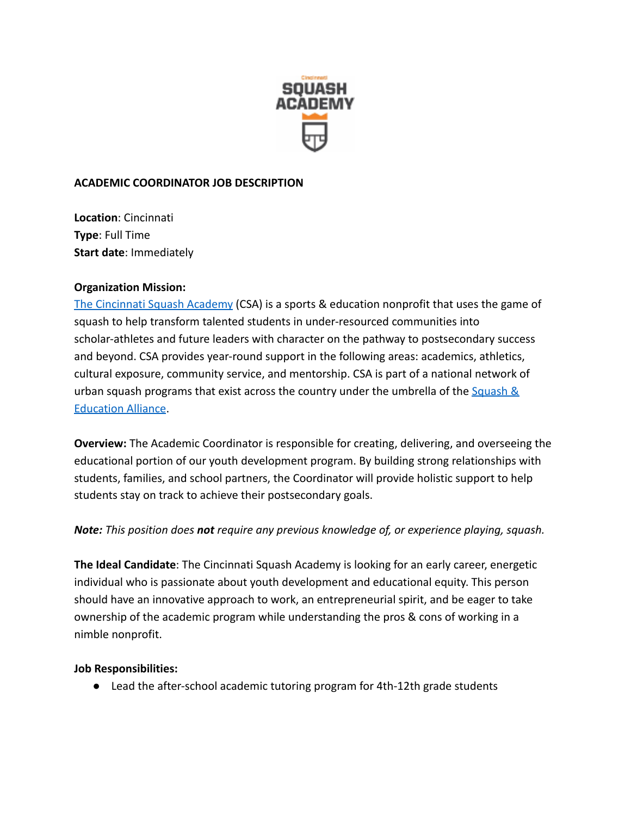

### **ACADEMIC COORDINATOR JOB DESCRIPTION**

**Location**: Cincinnati **Type**: Full Time **Start date**: Immediately

#### **Organization Mission:**

[The Cincinnati Squash Academy](https://www.squashacademy.org/) (CSA) is a sports & education nonprofit that uses the game of squash to help transform talented students in under-resourced communities into scholar-athletes and future leaders with character on the pathway to postsecondary success and beyond. CSA provides year-round support in the following areas: academics, athletics, cultural exposure, community service, and mentorship. CSA is part of a national network of urban squash programs that exist across the country under the umbrella of the Squash  $\&$ [Education Alliance](https://squashandeducation.org/).

**Overview:** The Academic Coordinator is responsible for creating, delivering, and overseeing the educational portion of our youth development program. By building strong relationships with students, families, and school partners, the Coordinator will provide holistic support to help students stay on track to achieve their postsecondary goals.

## *Note: This position does not require any previous knowledge of, or experience playing, squash.*

**The Ideal Candidate**: The Cincinnati Squash Academy is looking for an early career, energetic individual who is passionate about youth development and educational equity. This person should have an innovative approach to work, an entrepreneurial spirit, and be eager to take ownership of the academic program while understanding the pros & cons of working in a nimble nonprofit.

#### **Job Responsibilities:**

● Lead the after-school academic tutoring program for 4th-12th grade students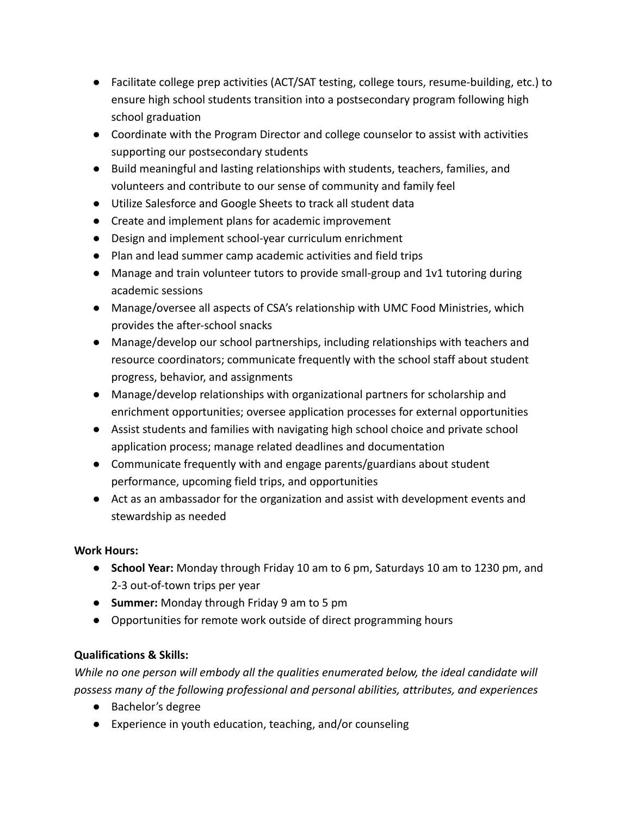- Facilitate college prep activities (ACT/SAT testing, college tours, resume-building, etc.) to ensure high school students transition into a postsecondary program following high school graduation
- Coordinate with the Program Director and college counselor to assist with activities supporting our postsecondary students
- Build meaningful and lasting relationships with students, teachers, families, and volunteers and contribute to our sense of community and family feel
- Utilize Salesforce and Google Sheets to track all student data
- Create and implement plans for academic improvement
- Design and implement school-year curriculum enrichment
- Plan and lead summer camp academic activities and field trips
- Manage and train volunteer tutors to provide small-group and 1v1 tutoring during academic sessions
- Manage/oversee all aspects of CSA's relationship with UMC Food Ministries, which provides the after-school snacks
- Manage/develop our school partnerships, including relationships with teachers and resource coordinators; communicate frequently with the school staff about student progress, behavior, and assignments
- Manage/develop relationships with organizational partners for scholarship and enrichment opportunities; oversee application processes for external opportunities
- Assist students and families with navigating high school choice and private school application process; manage related deadlines and documentation
- Communicate frequently with and engage parents/guardians about student performance, upcoming field trips, and opportunities
- Act as an ambassador for the organization and assist with development events and stewardship as needed

# **Work Hours:**

- **School Year:** Monday through Friday 10 am to 6 pm, Saturdays 10 am to 1230 pm, and 2-3 out-of-town trips per year
- **Summer:** Monday through Friday 9 am to 5 pm
- Opportunities for remote work outside of direct programming hours

# **Qualifications & Skills:**

*While no one person will embody all the qualities enumerated below, the ideal candidate will possess many of the following professional and personal abilities, attributes, and experiences*

- Bachelor's degree
- Experience in youth education, teaching, and/or counseling